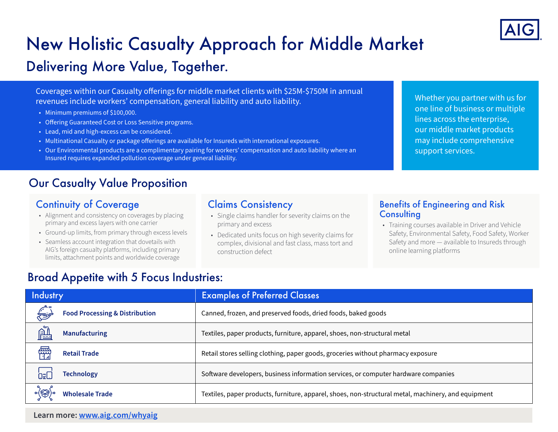

# New Holistic Casualty Approach for Middle Market

## Delivering More Value, Together.

Coverages within our Casualty offerings for middle market clients with \$25M-\$750M in annual revenues include workers' compensation, general liability and auto liability.

- Minimum premiums of \$100,000.
- Offering Guaranteed Cost or Loss Sensitive programs.
- Lead, mid and high-excess can be considered.
- Multinational Casualty or package offerings are available for Insureds with international exposures.
- Our Environmental products are a complimentary pairing for workers' compensation and auto liability where an Insured requires expanded pollution coverage under general liability.

## Our Casualty Value Proposition

## Continuity of Coverage

- Alignment and consistency on coverages by placing primary and excess layers with one carrier
- Ground-up limits, from primary through excess levels
- Seamless account integration that dovetails with AIG's foreign casualty platforms, including primary limits, attachment points and worldwide coverage

### Claims Consistency

- Single claims handler for severity claims on the primary and excess
- Dedicated units focus on high severity claims for complex, divisional and fast class, mass tort and construction defect

Whether you partner with us for one line of business or multiple lines across the enterprise, our middle market products may include comprehensive support services.

#### Benefits of Engineering and Risk **Consulting**

• Training courses available in Driver and Vehicle Safety, Environmental Safety, Food Safety, Worker Safety and more — available to Insureds through online learning platforms

## Broad Appetite with 5 Focus Industries:

| Industry |                                           | <b>Examples of Preferred Classes</b>                                                                |
|----------|-------------------------------------------|-----------------------------------------------------------------------------------------------------|
|          | <b>Food Processing &amp; Distribution</b> | Canned, frozen, and preserved foods, dried foods, baked goods                                       |
| è        | <b>Manufacturing</b>                      | Textiles, paper products, furniture, apparel, shoes, non-structural metal                           |
| 儒        | <b>Retail Trade</b>                       | Retail stores selling clothing, paper goods, groceries without pharmacy exposure                    |
| ΩFL      | <b>Technology</b>                         | Software developers, business information services, or computer hardware companies                  |
|          | <b>Wholesale Trade</b>                    | Textiles, paper products, furniture, apparel, shoes, non-structural metal, machinery, and equipment |